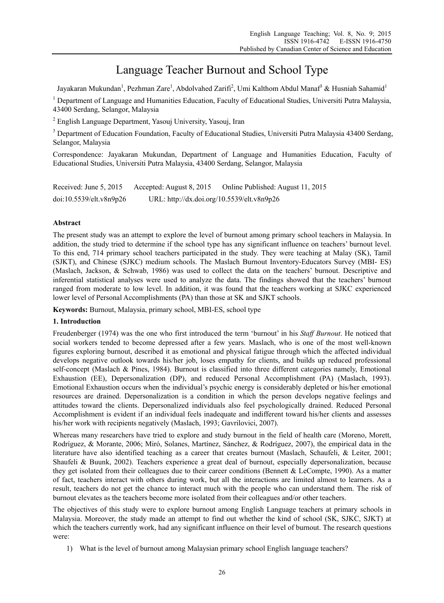# Language Teacher Burnout and School Type

Jayakaran Mukundan<sup>1</sup>, Pezhman Zare<sup>1</sup>, Abdolvahed Zarifi<sup>2</sup>, Umi Kalthom Abdul Manaf<sup>3</sup> & Husniah Sahamid<sup>1</sup>

<sup>1</sup> Department of Language and Humanities Education, Faculty of Educational Studies, Universiti Putra Malaysia, 43400 Serdang, Selangor, Malaysia

<sup>2</sup> English Language Department, Yasouj University, Yasouj, Iran

<sup>3</sup> Department of Education Foundation, Faculty of Educational Studies, Universiti Putra Malaysia 43400 Serdang, Selangor, Malaysia

Correspondence: Jayakaran Mukundan, Department of Language and Humanities Education, Faculty of Educational Studies, Universiti Putra Malaysia, 43400 Serdang, Selangor, Malaysia

Received: June 5, 2015 Accepted: August 8, 2015 Online Published: August 11, 2015 doi:10.5539/elt.v8n9p26 URL: http://dx.doi.org/10.5539/elt.v8n9p26

# **Abstract**

The present study was an attempt to explore the level of burnout among primary school teachers in Malaysia. In addition, the study tried to determine if the school type has any significant influence on teachers' burnout level. To this end, 714 primary school teachers participated in the study. They were teaching at Malay (SK), Tamil (SJKT), and Chinese (SJKC) medium schools. The Maslach Burnout Inventory-Educators Survey (MBI- ES) (Maslach, Jackson, & Schwab, 1986) was used to collect the data on the teachers' burnout. Descriptive and inferential statistical analyses were used to analyze the data. The findings showed that the teachers' burnout ranged from moderate to low level. In addition, it was found that the teachers working at SJKC experienced lower level of Personal Accomplishments (PA) than those at SK and SJKT schools.

**Keywords:** Burnout, Malaysia, primary school, MBI-ES, school type

# **1. Introduction**

Freudenberger (1974) was the one who first introduced the term 'burnout' in his *Staff Burnout*. He noticed that social workers tended to become depressed after a few years. Maslach, who is one of the most well-known figures exploring burnout, described it as emotional and physical fatigue through which the affected individual develops negative outlook towards his/her job, loses empathy for clients, and builds up reduced professional self-concept (Maslach & Pines, 1984). Burnout is classified into three different categories namely, Emotional Exhaustion (EE), Depersonalization (DP), and reduced Personal Accomplishment (PA) (Maslach, 1993). Emotional Exhaustion occurs when the individual's psychic energy is considerably depleted or his/her emotional resources are drained. Depersonalization is a condition in which the person develops negative feelings and attitudes toward the clients. Depersonalized individuals also feel psychologically drained. Reduced Personal Accomplishment is evident if an individual feels inadequate and indifferent toward his/her clients and assesses his/her work with recipients negatively (Maslach, 1993; Gavrilovici, 2007).

Whereas many researchers have tried to explore and study burnout in the field of health care (Moreno, Morett, Rodríguez, & Morante, 2006; Miró, Solanes, Martínez, Sánchez, & Rodríguez, 2007), the empirical data in the literature have also identified teaching as a career that creates burnout (Maslach, Schaufeli, & Leiter, 2001; Shaufeli & Buunk, 2002). Teachers experience a great deal of burnout, especially depersonalization, because they get isolated from their colleagues due to their career conditions (Bennett & LeCompte, 1990). As a matter of fact, teachers interact with others during work, but all the interactions are limited almost to learners. As a result, teachers do not get the chance to interact much with the people who can understand them. The risk of burnout elevates as the teachers become more isolated from their colleagues and/or other teachers.

The objectives of this study were to explore burnout among English Language teachers at primary schools in Malaysia. Moreover, the study made an attempt to find out whether the kind of school (SK, SJKC, SJKT) at which the teachers currently work, had any significant influence on their level of burnout. The research questions were:

1) What is the level of burnout among Malaysian primary school English language teachers?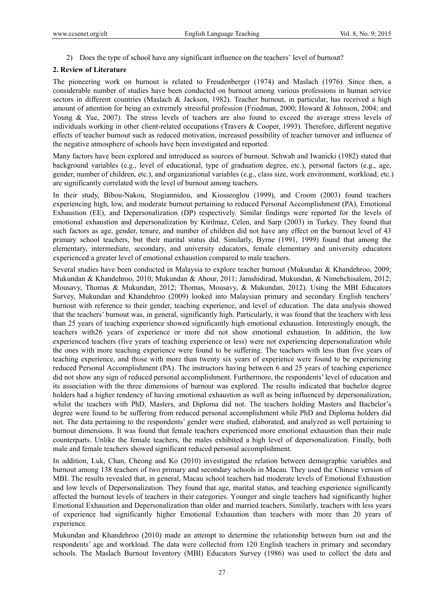2) Does the type of school have any significant influence on the teachers' level of burnout?

### **2. Review of Literature**

The pioneering work on burnout is related to Freudenberger (1974) and Maslach (1976). Since then, a considerable number of studies have been conducted on burnout among various professions in human service sectors in different countries (Maslach & Jackson, 1982). Teacher burnout, in particular, has received a high amount of attention for being an extremely stressful profession (Friedman, 2000; Howard & Johnson, 2004; and Young & Yue, 2007). The stress levels of teachers are also found to exceed the average stress levels of individuals working in other client-related occupations (Travers & Cooper, 1993). Therefore, different negative effects of teacher burnout such as reduced motivation, increased possibility of teacher turnover and influence of the negative atmosphere of schools have been investigated and reported.

Many factors have been explored and introduced as sources of burnout. Schwab and Iwanicki (1982) stated that background variables (e.g., level of educational, type of graduation degree, etc.), personal factors (e.g., age, gender, number of children, etc.), and organizational variables (e.g., class size, work environment, workload, etc.) are significantly correlated with the level of burnout among teachers.

In their study, Bibou-Nakou, Stogiannidou, and Kiosseoglou (1999), and Croom (2003) found teachers experiencing high, low, and moderate burnout pertaining to reduced Personal Accomplishment (PA), Emotional Exhaustion (EE), and Depersonalization (DP) respectively. Similar findings were reported for the levels of emotional exhaustion and depersonalization by Kirilmaz, Celen, and Sarp (2003) in Turkey. They found that such factors as age, gender, tenure, and number of children did not have any effect on the burnout level of 43 primary school teachers, but their marital status did. Similarly, Byrne (1991, 1999) found that among the elementary, intermediate, secondary, and university educators, female elementary and university educators experienced a greater level of emotional exhaustion compared to male teachers.

Several studies have been conducted in Malaysia to explore teacher burnout (Mukundan & Khandehroo, 2009; Mukundan & Khandehroo, 2010; Mukundan & Ahour, 2011; Jamshidirad, Mukundan, & Nimehchisalem, 2012; Mousavy, Thomas & Mukundan, 2012; Thomas, Mousavy, & Mukundan, 2012). Using the MBI Educators Survey, Mukundan and Khandehroo (2009) looked into Malaysian primary and secondary English teachers' burnout with reference to their gender, teaching experience, and level of education. The data analysis showed that the teachers' burnout was, in general, significantly high. Particularly, it was found that the teachers with less than 25 years of teaching experience showed significantly high emotional exhaustion. Interestingly enough, the teachers with26 years of experience or more did not show emotional exhaustion. In addition, the low experienced teachers (five years of teaching experience or less) were not experiencing depersonalization while the ones with more teaching experience were found to be suffering. The teachers with less than five years of teaching experience, and those with more than twenty six years of experience were found to be experiencing reduced Personal Accomplishment (PA). The instructors having between 6 and 25 years of teaching experience did not show any sign of reduced personal accomplishment. Furthermore, the respondents' level of education and its association with the three dimensions of burnout was explored. The results indicated that bachelor degree holders had a higher tendency of having emotional exhaustion as well as being influenced by depersonalization, whilst the teachers with PhD, Masters, and Diploma did not. The teachers holding Masters and Bachelor's degree were found to be suffering from reduced personal accomplishment while PhD and Diploma holders did not. The data pertaining to the respondents' gender were studied, elaborated, and analyzed as well pertaining to burnout dimensions. It was found that female teachers experienced more emotional exhaustion than their male counterparts. Unlike the female teachers, the males exhibited a high level of depersonalization. Finally, both male and female teachers showed significant reduced personal accomplishment.

In addition, Luk, Chan, Cheong and Ko (2010) investigated the relation between demographic variables and burnout among 138 teachers of two primary and secondary schools in Macau. They used the Chinese version of MBI. The results revealed that, in general, Macau school teachers had moderate levels of Emotional Exhaustion and low levels of Depersonalization. They found that age, marital status, and teaching experience significantly affected the burnout levels of teachers in their categories. Younger and single teachers had significantly higher Emotional Exhaustion and Depersonalization than older and married teachers. Similarly, teachers with less years of experience had significantly higher Emotional Exhaustion than teachers with more than 20 years of experience.

Mukundan and Khandehroo (2010) made an attempt to determine the relationship between burn out and the respondents' age and workload. The data were collected from 120 English teachers in primary and secondary schools. The Maslach Burnout Inventory (MBI) Educators Survey (1986) was used to collect the data and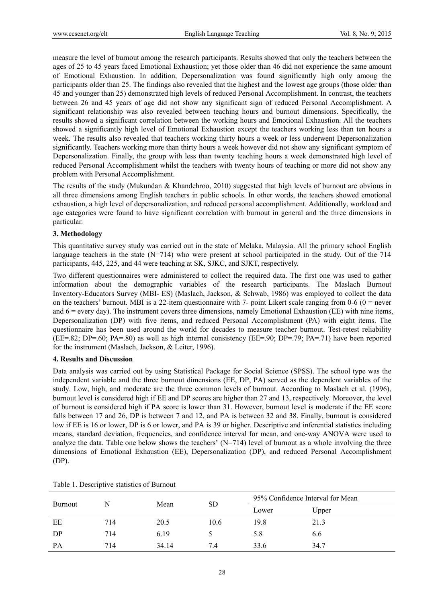measure the level of burnout among the research participants. Results showed that only the teachers between the ages of 25 to 45 years faced Emotional Exhaustion; yet those older than 46 did not experience the same amount of Emotional Exhaustion. In addition, Depersonalization was found significantly high only among the participants older than 25. The findings also revealed that the highest and the lowest age groups (those older than 45 and younger than 25) demonstrated high levels of reduced Personal Accomplishment. In contrast, the teachers between 26 and 45 years of age did not show any significant sign of reduced Personal Accomplishment. A significant relationship was also revealed between teaching hours and burnout dimensions. Specifically, the results showed a significant correlation between the working hours and Emotional Exhaustion. All the teachers showed a significantly high level of Emotional Exhaustion except the teachers working less than ten hours a week. The results also revealed that teachers working thirty hours a week or less underwent Depersonalization significantly. Teachers working more than thirty hours a week however did not show any significant symptom of Depersonalization. Finally, the group with less than twenty teaching hours a week demonstrated high level of reduced Personal Accomplishment whilst the teachers with twenty hours of teaching or more did not show any problem with Personal Accomplishment.

The results of the study (Mukundan & Khandehroo, 2010) suggested that high levels of burnout are obvious in all three dimensions among English teachers in public schools. In other words, the teachers showed emotional exhaustion, a high level of depersonalization, and reduced personal accomplishment. Additionally, workload and age categories were found to have significant correlation with burnout in general and the three dimensions in particular.

#### **3. Methodology**

This quantitative survey study was carried out in the state of Melaka, Malaysia. All the primary school English language teachers in the state  $(N=714)$  who were present at school participated in the study. Out of the 714 participants, 445, 225, and 44 were teaching at SK, SJKC, and SJKT, respectively.

Two different questionnaires were administered to collect the required data. The first one was used to gather information about the demographic variables of the research participants. The Maslach Burnout Inventory-Educators Survey (MBI- ES) (Maslach, Jackson, & Schwab, 1986) was employed to collect the data on the teachers' burnout. MBI is a 22-item questionnaire with 7- point Likert scale ranging from  $0-6$  ( $0 =$  never and  $6 =$  every day). The instrument covers three dimensions, namely Emotional Exhaustion (EE) with nine items, Depersonalization (DP) with five items, and reduced Personal Accomplishment (PA) with eight items. The questionnaire has been used around the world for decades to measure teacher burnout. Test-retest reliability  $(EE=.82; DP=.60; PA=.80)$  as well as high internal consistency  $(EE=.90; DP=.79; PA=.71)$  have been reported for the instrument (Maslach, Jackson, & Leiter, 1996).

## **4. Results and Discussion**

Data analysis was carried out by using Statistical Package for Social Science (SPSS). The school type was the independent variable and the three burnout dimensions (EE, DP, PA) served as the dependent variables of the study. Low, high, and moderate are the three common levels of burnout. According to Maslach et al. (1996), burnout level is considered high if EE and DP scores are higher than 27 and 13, respectively. Moreover, the level of burnout is considered high if PA score is lower than 31. However, burnout level is moderate if the EE score falls between 17 and 26, DP is between 7 and 12, and PA is between 32 and 38. Finally, burnout is considered low if EE is 16 or lower, DP is 6 or lower, and PA is 39 or higher. Descriptive and inferential statistics including means, standard deviation, frequencies, and confidence interval for mean, and one-way ANOVA were used to analyze the data. Table one below shows the teachers' (N=714) level of burnout as a whole involving the three dimensions of Emotional Exhaustion (EE), Depersonalization (DP), and reduced Personal Accomplishment (DP).

| Burnout | N   | Mean  | <b>SD</b> | 95% Confidence Interval for Mean |       |  |
|---------|-----|-------|-----------|----------------------------------|-------|--|
|         |     |       |           | Lower                            | Upper |  |
| EE      | 714 | 20.5  | 10.6      | 19.8                             | 21.3  |  |
| DP      | 714 | 6.19  |           | 5.8                              | 6.6   |  |
| PА      | 714 | 34.14 | 7.4       | 33.6                             | 34.7  |  |

Table 1. Descriptive statistics of Burnout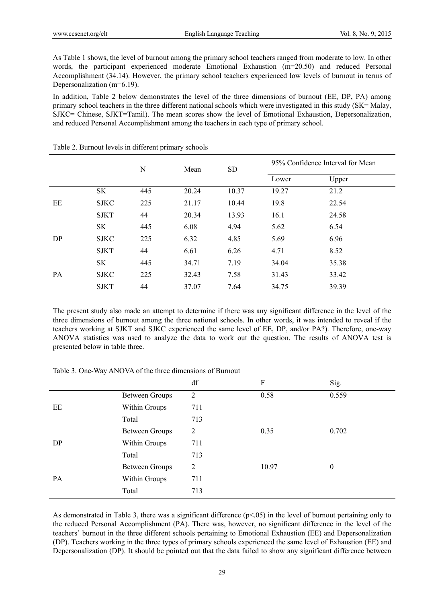As Table 1 shows, the level of burnout among the primary school teachers ranged from moderate to low. In other words, the participant experienced moderate Emotional Exhaustion (m=20.50) and reduced Personal Accomplishment (34.14). However, the primary school teachers experienced low levels of burnout in terms of Depersonalization (m=6.19).

In addition, Table 2 below demonstrates the level of the three dimensions of burnout (EE, DP, PA) among primary school teachers in the three different national schools which were investigated in this study (SK= Malay, SJKC= Chinese, SJKT=Tamil). The mean scores show the level of Emotional Exhaustion, Depersonalization, and reduced Personal Accomplishment among the teachers in each type of primary school.

|    |             | N   | Mean  | <b>SD</b> | 95% Confidence Interval for Mean |       |  |
|----|-------------|-----|-------|-----------|----------------------------------|-------|--|
|    |             |     |       |           | Lower                            | Upper |  |
| EE | SK          | 445 | 20.24 | 10.37     | 19.27                            | 21.2  |  |
|    | <b>SJKC</b> | 225 | 21.17 | 10.44     | 19.8                             | 22.54 |  |
|    | <b>SJKT</b> | 44  | 20.34 | 13.93     | 16.1                             | 24.58 |  |
| DP | SK          | 445 | 6.08  | 4.94      | 5.62                             | 6.54  |  |
|    | <b>SJKC</b> | 225 | 6.32  | 4.85      | 5.69                             | 6.96  |  |
|    | <b>SJKT</b> | 44  | 6.61  | 6.26      | 4.71                             | 8.52  |  |
| PA | SK          | 445 | 34.71 | 7.19      | 34.04                            | 35.38 |  |
|    | <b>SJKC</b> | 225 | 32.43 | 7.58      | 31.43                            | 33.42 |  |
|    | <b>SJKT</b> | 44  | 37.07 | 7.64      | 34.75                            | 39.39 |  |

Table 2. Burnout levels in different primary schools

The present study also made an attempt to determine if there was any significant difference in the level of the three dimensions of burnout among the three national schools. In other words, it was intended to reveal if the teachers working at SJKT and SJKC experienced the same level of EE, DP, and/or PA?). Therefore, one-way ANOVA statistics was used to analyze the data to work out the question. The results of ANOVA test is presented below in table three.

|    |                       | df  | F     | Sig.         |
|----|-----------------------|-----|-------|--------------|
|    | <b>Between Groups</b> | 2   | 0.58  | 0.559        |
| EЕ | Within Groups         | 711 |       |              |
|    | Total                 | 713 |       |              |
|    | <b>Between Groups</b> | 2   | 0.35  | 0.702        |
| DP | Within Groups         | 711 |       |              |
|    | Total                 | 713 |       |              |
|    | <b>Between Groups</b> | 2   | 10.97 | $\mathbf{0}$ |
| PA | Within Groups         | 711 |       |              |
|    | Total                 | 713 |       |              |

Table 3. One-Way ANOVA of the three dimensions of Burnout

As demonstrated in Table 3, there was a significant difference  $(p<0.05)$  in the level of burnout pertaining only to the reduced Personal Accomplishment (PA). There was, however, no significant difference in the level of the teachers' burnout in the three different schools pertaining to Emotional Exhaustion (EE) and Depersonalization (DP). Teachers working in the three types of primary schools experienced the same level of Exhaustion (EE) and Depersonalization (DP). It should be pointed out that the data failed to show any significant difference between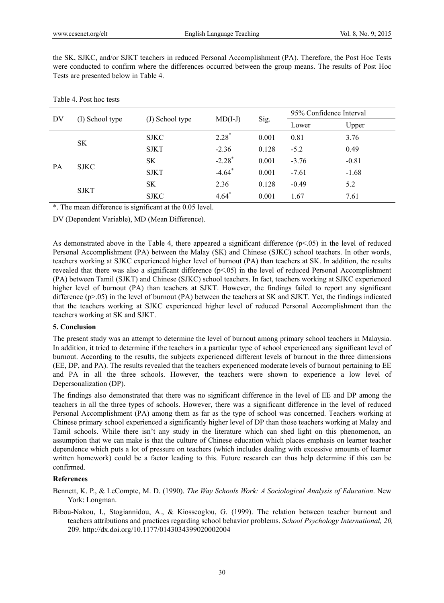the SK, SJKC, and/or SJKT teachers in reduced Personal Accomplishment (PA). Therefore, the Post Hoc Tests were conducted to confirm where the differences occurred between the group means. The results of Post Hoc Tests are presented below in Table 4.

| DV | (I) School type | (J) School type | $MD(I-J)$            | Sig.  | 95% Confidence Interval |         |
|----|-----------------|-----------------|----------------------|-------|-------------------------|---------|
|    |                 |                 |                      |       | Lower                   | Upper   |
| PA | <b>SK</b>       | <b>SJKC</b>     | $2.28*$              | 0.001 | 0.81                    | 3.76    |
|    |                 | <b>SJKT</b>     | $-2.36$              | 0.128 | $-5.2$                  | 0.49    |
|    | <b>SJKC</b>     | SK              | $-2.28$ <sup>*</sup> | 0.001 | $-3.76$                 | $-0.81$ |
|    |                 | <b>SJKT</b>     | $-4.64$ <sup>*</sup> | 0.001 | $-7.61$                 | $-1.68$ |
|    | <b>SJKT</b>     | SK              | 2.36                 | 0.128 | $-0.49$                 | 5.2     |
|    |                 | <b>SJKC</b>     | $4.64*$              | 0.001 | 1.67                    | 7.61    |

Table 4. Post hoc tests

\*. The mean difference is significant at the 0.05 level.

DV (Dependent Variable), MD (Mean Difference).

As demonstrated above in the Table 4, there appeared a significant difference  $(p<0.05)$  in the level of reduced Personal Accomplishment (PA) between the Malay (SK) and Chinese (SJKC) school teachers. In other words, teachers working at SJKC experienced higher level of burnout (PA) than teachers at SK. In addition, the results revealed that there was also a significant difference  $(p<0.05)$  in the level of reduced Personal Accomplishment (PA) between Tamil (SJKT) and Chinese (SJKC) school teachers. In fact, teachers working at SJKC experienced higher level of burnout (PA) than teachers at SJKT. However, the findings failed to report any significant difference (p>.05) in the level of burnout (PA) between the teachers at SK and SJKT. Yet, the findings indicated that the teachers working at SJKC experienced higher level of reduced Personal Accomplishment than the teachers working at SK and SJKT.

## **5. Conclusion**

The present study was an attempt to determine the level of burnout among primary school teachers in Malaysia. In addition, it tried to determine if the teachers in a particular type of school experienced any significant level of burnout. According to the results, the subjects experienced different levels of burnout in the three dimensions (EE, DP, and PA). The results revealed that the teachers experienced moderate levels of burnout pertaining to EE and PA in all the three schools. However, the teachers were shown to experience a low level of Depersonalization (DP).

The findings also demonstrated that there was no significant difference in the level of EE and DP among the teachers in all the three types of schools. However, there was a significant difference in the level of reduced Personal Accomplishment (PA) among them as far as the type of school was concerned. Teachers working at Chinese primary school experienced a significantly higher level of DP than those teachers working at Malay and Tamil schools. While there isn't any study in the literature which can shed light on this phenomenon, an assumption that we can make is that the culture of Chinese education which places emphasis on learner teacher dependence which puts a lot of pressure on teachers (which includes dealing with excessive amounts of learner written homework) could be a factor leading to this. Future research can thus help determine if this can be confirmed.

## **References**

Bennett, K. P., & LeCompte, M. D. (1990). *The Way Schools Work: A Sociological Analysis of Education*. New York: Longman.

Bibou-Nakou, I., Stogiannidou, A., & Kiosseoglou, G. (1999). The relation between teacher burnout and teachers attributions and practices regarding school behavior problems. *School Psychology International, 20,* 209. http://dx.doi.org/10.1177/0143034399020002004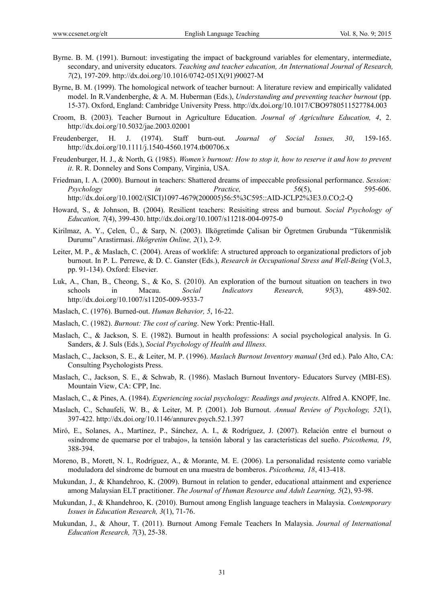- Byrne. B. M. (1991). Burnout: investigating the impact of background variables for elementary, intermediate, secondary, and university educators. *Teaching and teacher education, An International Journal of Research, 7*(2), 197-209. http://dx.doi.org/10.1016/0742-051X(91)90027-M
- Byrne, B. M. (1999). The homological network of teacher burnout: A literature review and empirically validated model. In R.Vandenberghe, & A. M. Huberman (Eds.), *Understanding and preventing teacher burnout* (pp. 15-37). Oxford, England: Cambridge University Press. http://dx.doi.org/10.1017/CBO9780511527784.003
- Croom, B. (2003). Teacher Burnout in Agriculture Education. *Journal of Agriculture Education, 4*, 2. http://dx.doi.org/10.5032/jae.2003.02001
- Freudenberger, H. J. (1974). Staff burn-out. *Journal of Social Issues, 30*, 159-165. http://dx.doi.org/10.1111/j.1540-4560.1974.tb00706.x
- Freudenburger, H. J., & North, G. (1985). *Women's burnout: How to stop it, how to reserve it and how to prevent it*. R. R. Donneley and Sons Company, Virginia, USA.
- Friedman, I. A. (2000). Burnout in teachers: Shattered dreams of impeccable professional performance. *Session: Psychology in Practice, 56*(5), 595-606. http://dx.doi.org/10.1002/(SICI)1097-4679(200005)56:5%3C595::AID-JCLP2%3E3.0.CO;2-Q
- Howard, S., & Johnson, B. (2004). Resilient teachers: Resisiting stress and burnout. *Social Psychology of Education, 7*(4), 399-430. http://dx.doi.org/10.1007/s11218-004-0975-0
- Kirilmaz, A. Y., Çelen, Ü., & Sarp, N. (2003). Ilkögretimde Çalisan bir Ögretmen Grubunda "Tükenmislik Durumu" Arastirmasi. *Ilkögretim Online, 2*(1), 2-9.
- Leiter, M. P., & Maslach, C. (2004). Areas of worklife: A structured approach to organizational predictors of job burnout. In P. L. Perrewe, & D. C. Ganster (Eds.), *Research in Occupational Stress and Well-Being* (Vol.3, pp. 91-134). Oxford: Elsevier.
- Luk, A., Chan, B., Cheong, S., & Ko, S. (2010). An exploration of the burnout situation on teachers in two schools in Macau. *Social Indicators Research, 95*(3), 489-502. http://dx.doi.org/10.1007/s11205-009-9533-7
- Maslach, C. (1976). Burned-out. *Human Behavior, 5*, 16-22.
- Maslach, C. (1982). *Burnout: The cost of caring*. New York: Prentic-Hall.
- Maslach, C., & Jackson, S. E. (1982). Burnout in health professions: A social psychological analysis. In G. Sanders, & J. Suls (Eds.), *Social Psychology of Health and Illness.*
- Maslach, C., Jackson, S. E., & Leiter, M. P. (1996). *Maslach Burnout Inventory manual* (3rd ed.). Palo Alto, CA: Consulting Psychologists Press.
- Maslach, C., Jackson, S. E., & Schwab, R. (1986). Maslach Burnout Inventory- Educators Survey (MBI-ES). Mountain View, CA: CPP, Inc.
- Maslach, C., & Pines, A. (1984). *Experiencing social psychology: Readings and projects*. Alfred A. KNOPF, Inc.
- Maslach, C., Schaufeli, W. B., & Leiter, M. P. (2001). Job Burnout. *Annual Review of Psychology, 52*(1), 397-422. http://dx.doi.org/10.1146/annurev.psych.52.1.397
- Miró, E., Solanes, A., Martínez, P., Sánchez, A. I., & Rodríguez, J. (2007). Relación entre el burnout o «síndrome de quemarse por el trabajo», la tensión laboral y las características del sueño. *Psicothema, 19*, 388-394.
- Moreno, B., Morett, N. I., Rodríguez, A., & Morante, M. E. (2006). La personalidad resistente como variable moduladora del síndrome de burnout en una muestra de bomberos. *Psicothema, 18*, 413-418.
- Mukundan, J., & Khandehroo, K. (2009). Burnout in relation to gender, educational attainment and experience among Malaysian ELT practitioner. *The Journal of Human Resource and Adult Learning, 5*(2), 93-98.
- Mukundan, J., & Khandehroo, K. (2010). Burnout among English language teachers in Malaysia. *Contemporary Issues in Education Research, 3*(1), 71-76.
- Mukundan, J., & Ahour, T. (2011). Burnout Among Female Teachers In Malaysia. *Journal of International Education Research, 7*(3), 25-38.